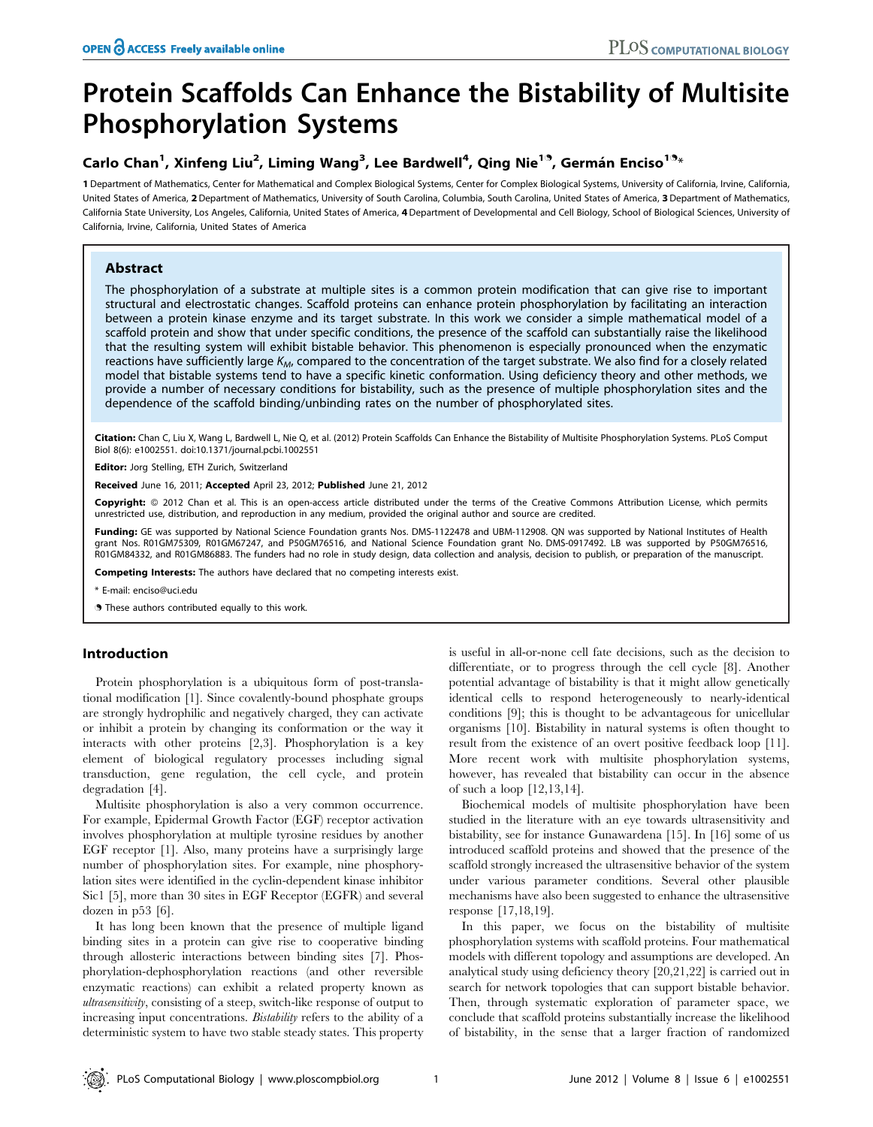# Protein Scaffolds Can Enhance the Bistability of Multisite Phosphorylation Systems

## Carlo Chan<sup>1</sup>, Xinfeng Liu<sup>2</sup>, Liming Wang<sup>3</sup>, Lee Bardwell<sup>4</sup>, Qing Nie<sup>19</sup>, Germán Enciso<sup>19</sup>\*

1 Department of Mathematics, Center for Mathematical and Complex Biological Systems, Center for Complex Biological Systems, University of California, Irvine, California, United States of America, 2 Department of Mathematics, University of South Carolina, Columbia, South Carolina, United States of America, 3 Department of Mathematics, California State University, Los Angeles, California, United States of America, 4Department of Developmental and Cell Biology, School of Biological Sciences, University of California, Irvine, California, United States of America

## Abstract

The phosphorylation of a substrate at multiple sites is a common protein modification that can give rise to important structural and electrostatic changes. Scaffold proteins can enhance protein phosphorylation by facilitating an interaction between a protein kinase enzyme and its target substrate. In this work we consider a simple mathematical model of a scaffold protein and show that under specific conditions, the presence of the scaffold can substantially raise the likelihood that the resulting system will exhibit bistable behavior. This phenomenon is especially pronounced when the enzymatic reactions have sufficiently large  $K_{M}$ , compared to the concentration of the target substrate. We also find for a closely related model that bistable systems tend to have a specific kinetic conformation. Using deficiency theory and other methods, we provide a number of necessary conditions for bistability, such as the presence of multiple phosphorylation sites and the dependence of the scaffold binding/unbinding rates on the number of phosphorylated sites.

Citation: Chan C, Liu X, Wang L, Bardwell L, Nie Q, et al. (2012) Protein Scaffolds Can Enhance the Bistability of Multisite Phosphorylation Systems. PLoS Comput Biol 8(6): e1002551. doi:10.1371/journal.pcbi.1002551

Editor: Jorg Stelling, ETH Zurich, Switzerland

Received June 16, 2011; Accepted April 23, 2012; Published June 21, 2012

Copyright: © 2012 Chan et al. This is an open-access article distributed under the terms of the Creative Commons Attribution License, which permits unrestricted use, distribution, and reproduction in any medium, provided the original author and source are credited.

Funding: GE was supported by National Science Foundation grants Nos. DMS-1122478 and UBM-112908. QN was supported by National Institutes of Health grant Nos. R01GM75309, R01GM67247, and P50GM76516, and National Science Foundation grant No. DMS-0917492. LB was supported by P50GM76516, R01GM84332, and R01GM86883. The funders had no role in study design, data collection and analysis, decision to publish, or preparation of the manuscript.

Competing Interests: The authors have declared that no competing interests exist.

\* E-mail: enciso@uci.edu

**.** These authors contributed equally to this work.

## Introduction

Protein phosphorylation is a ubiquitous form of post-translational modification [1]. Since covalently-bound phosphate groups are strongly hydrophilic and negatively charged, they can activate or inhibit a protein by changing its conformation or the way it interacts with other proteins [2,3]. Phosphorylation is a key element of biological regulatory processes including signal transduction, gene regulation, the cell cycle, and protein degradation [4].

Multisite phosphorylation is also a very common occurrence. For example, Epidermal Growth Factor (EGF) receptor activation involves phosphorylation at multiple tyrosine residues by another EGF receptor [1]. Also, many proteins have a surprisingly large number of phosphorylation sites. For example, nine phosphorylation sites were identified in the cyclin-dependent kinase inhibitor Sic1 [5], more than 30 sites in EGF Receptor (EGFR) and several dozen in p53 [6].

It has long been known that the presence of multiple ligand binding sites in a protein can give rise to cooperative binding through allosteric interactions between binding sites [7]. Phosphorylation-dephosphorylation reactions (and other reversible enzymatic reactions) can exhibit a related property known as ultrasensitivity, consisting of a steep, switch-like response of output to increasing input concentrations. Bistability refers to the ability of a deterministic system to have two stable steady states. This property is useful in all-or-none cell fate decisions, such as the decision to differentiate, or to progress through the cell cycle [8]. Another potential advantage of bistability is that it might allow genetically identical cells to respond heterogeneously to nearly-identical conditions [9]; this is thought to be advantageous for unicellular organisms [10]. Bistability in natural systems is often thought to result from the existence of an overt positive feedback loop [11]. More recent work with multisite phosphorylation systems, however, has revealed that bistability can occur in the absence of such a loop [12,13,14].

Biochemical models of multisite phosphorylation have been studied in the literature with an eye towards ultrasensitivity and bistability, see for instance Gunawardena [15]. In [16] some of us introduced scaffold proteins and showed that the presence of the scaffold strongly increased the ultrasensitive behavior of the system under various parameter conditions. Several other plausible mechanisms have also been suggested to enhance the ultrasensitive response [17,18,19].

In this paper, we focus on the bistability of multisite phosphorylation systems with scaffold proteins. Four mathematical models with different topology and assumptions are developed. An analytical study using deficiency theory [20,21,22] is carried out in search for network topologies that can support bistable behavior. Then, through systematic exploration of parameter space, we conclude that scaffold proteins substantially increase the likelihood of bistability, in the sense that a larger fraction of randomized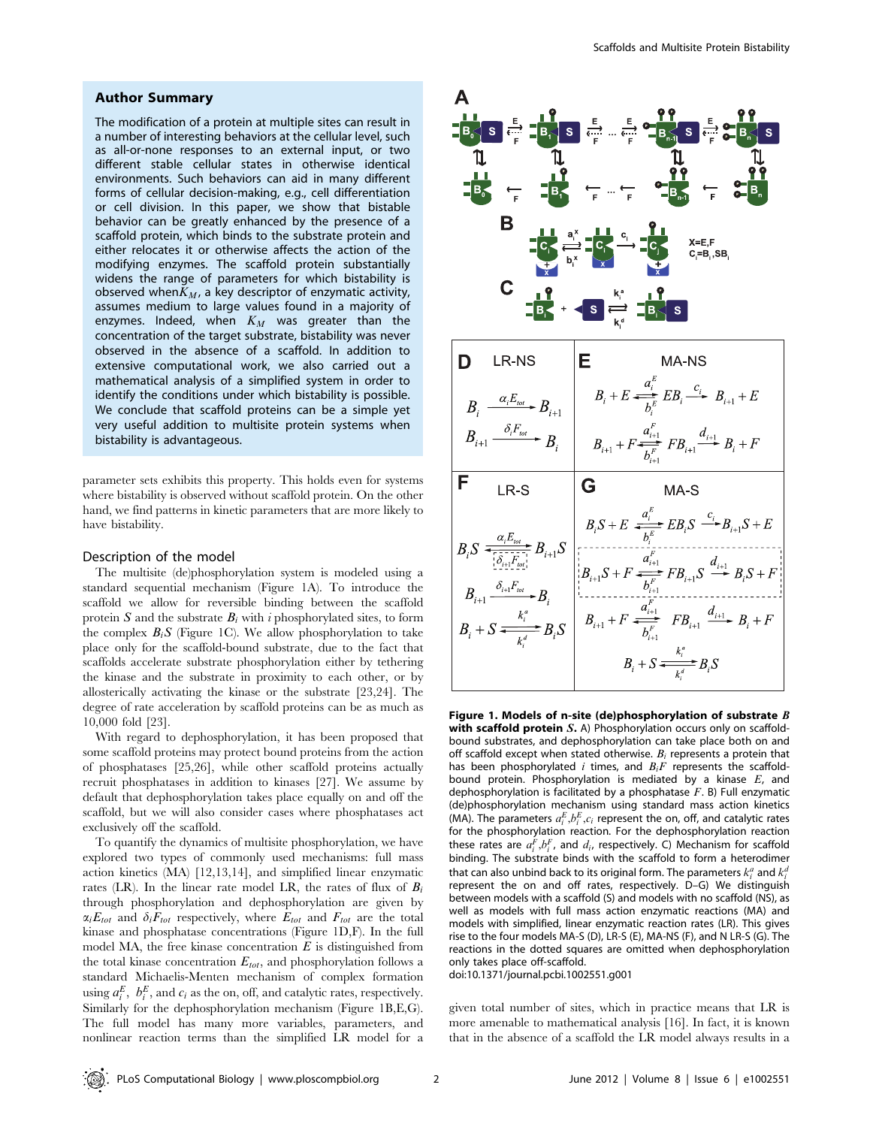## Author Summary

The modification of a protein at multiple sites can result in a number of interesting behaviors at the cellular level, such as all-or-none responses to an external input, or two different stable cellular states in otherwise identical environments. Such behaviors can aid in many different forms of cellular decision-making, e.g., cell differentiation or cell division. In this paper, we show that bistable behavior can be greatly enhanced by the presence of a scaffold protein, which binds to the substrate protein and either relocates it or otherwise affects the action of the modifying enzymes. The scaffold protein substantially widens the range of parameters for which bistability is observed when $K_M$ , a key descriptor of enzymatic activity, assumes medium to large values found in a majority of enzymes. Indeed, when  $K_M$  was greater than the concentration of the target substrate, bistability was never observed in the absence of a scaffold. In addition to extensive computational work, we also carried out a mathematical analysis of a simplified system in order to identify the conditions under which bistability is possible. We conclude that scaffold proteins can be a simple yet very useful addition to multisite protein systems when bistability is advantageous.

parameter sets exhibits this property. This holds even for systems where bistability is observed without scaffold protein. On the other hand, we find patterns in kinetic parameters that are more likely to have bistability.

## Description of the model

The multisite (de)phosphorylation system is modeled using a standard sequential mechanism (Figure 1A). To introduce the scaffold we allow for reversible binding between the scaffold protein S and the substrate  $B_i$  with i phosphorylated sites, to form the complex  $B_iS$  (Figure 1C). We allow phosphorylation to take place only for the scaffold-bound substrate, due to the fact that scaffolds accelerate substrate phosphorylation either by tethering the kinase and the substrate in proximity to each other, or by allosterically activating the kinase or the substrate [23,24]. The degree of rate acceleration by scaffold proteins can be as much as 10,000 fold [23].

With regard to dephosphorylation, it has been proposed that some scaffold proteins may protect bound proteins from the action of phosphatases [25,26], while other scaffold proteins actually recruit phosphatases in addition to kinases [27]. We assume by default that dephosphorylation takes place equally on and off the scaffold, but we will also consider cases where phosphatases act exclusively off the scaffold.

To quantify the dynamics of multisite phosphorylation, we have explored two types of commonly used mechanisms: full mass action kinetics (MA) [12,13,14], and simplified linear enzymatic rates (LR). In the linear rate model LR, the rates of flux of  $B_i$ through phosphorylation and dephosphorylation are given by  $\alpha_i E_{tot}$  and  $\delta_i F_{tot}$  respectively, where  $E_{tot}$  and  $F_{tot}$  are the total kinase and phosphatase concentrations (Figure 1D,F). In the full model MA, the free kinase concentration  $E$  is distinguished from the total kinase concentration  $E_{tot}$ , and phosphorylation follows a standard Michaelis-Menten mechanism of complex formation using  $a_i^E$ ,  $b_i^E$ , and  $c_i$  as the on, off, and catalytic rates, respectively. Similarly for the dephosphorylation mechanism (Figure 1B,E,G). The full model has many more variables, parameters, and nonlinear reaction terms than the simplified LR model for a



Figure 1. Models of n-site (de)phosphorylation of substrate  $B$ with scaffold protein S. A) Phosphorylation occurs only on scaffoldbound substrates, and dephosphorylation can take place both on and off scaffold except when stated otherwise.  $B_i$  represents a protein that has been phosphorylated i times, and  $B_iF$  represents the scaffoldbound protein. Phosphorylation is mediated by a kinase  $E$ , and dephosphorylation is facilitated by a phosphatase  $F$ . B) Full enzymatic (de)phosphorylation mechanism using standard mass action kinetics (MA). The parameters  $a_i^E, b_i^E, c_i$  represent the on, off, and catalytic rates for the phosphorylation reaction. For the dephosphorylation reaction these rates are  $a_i^F, b_i^F$ , and  $d_i$ , respectively. C) Mechanism for scaffold binding. The substrate binds with the scaffold to form a heterodimer that can also unbind back to its original form. The parameters  $k_i^a$  and  $k_i^a$ represent the on and off rates, respectively. D–G) We distinguish between models with a scaffold (S) and models with no scaffold (NS), as well as models with full mass action enzymatic reactions (MA) and models with simplified, linear enzymatic reaction rates (LR). This gives rise to the four models MA-S (D), LR-S (E), MA-NS (F), and N LR-S (G). The reactions in the dotted squares are omitted when dephosphorylation only takes place off-scaffold.

doi:10.1371/journal.pcbi.1002551.g001

given total number of sites, which in practice means that LR is more amenable to mathematical analysis [16]. In fact, it is known that in the absence of a scaffold the LR model always results in a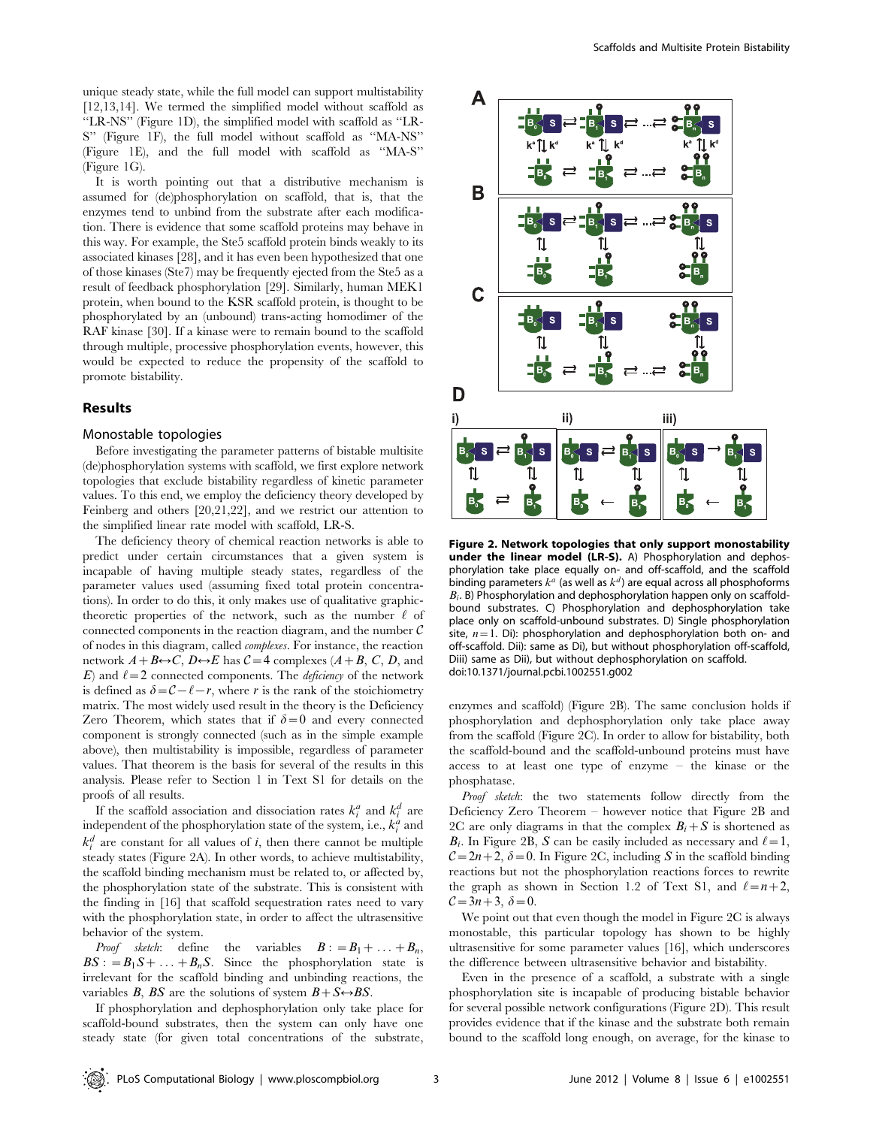unique steady state, while the full model can support multistability [12,13,14]. We termed the simplified model without scaffold as ''LR-NS'' (Figure 1D), the simplified model with scaffold as ''LR-S'' (Figure 1F), the full model without scaffold as ''MA-NS'' (Figure 1E), and the full model with scaffold as ''MA-S''  $(Fi$ gure  $1G$ ).

It is worth pointing out that a distributive mechanism is assumed for (de)phosphorylation on scaffold, that is, that the enzymes tend to unbind from the substrate after each modification. There is evidence that some scaffold proteins may behave in this way. For example, the Ste5 scaffold protein binds weakly to its associated kinases [28], and it has even been hypothesized that one of those kinases (Ste7) may be frequently ejected from the Ste5 as a result of feedback phosphorylation [29]. Similarly, human MEK1 protein, when bound to the KSR scaffold protein, is thought to be phosphorylated by an (unbound) trans-acting homodimer of the RAF kinase [30]. If a kinase were to remain bound to the scaffold through multiple, processive phosphorylation events, however, this would be expected to reduce the propensity of the scaffold to promote bistability.

## Results

#### Monostable topologies

Before investigating the parameter patterns of bistable multisite (de)phosphorylation systems with scaffold, we first explore network topologies that exclude bistability regardless of kinetic parameter values. To this end, we employ the deficiency theory developed by Feinberg and others [20,21,22], and we restrict our attention to the simplified linear rate model with scaffold, LR-S.

The deficiency theory of chemical reaction networks is able to predict under certain circumstances that a given system is incapable of having multiple steady states, regardless of the parameter values used (assuming fixed total protein concentrations). In order to do this, it only makes use of qualitative graphictheoretic properties of the network, such as the number  $\ell$  of connected components in the reaction diagram, and the number  $\mathcal C$ of nodes in this diagram, called complexes. For instance, the reaction network  $A + B \leftrightarrow C$ ,  $D \leftrightarrow E$  has  $C = 4$  complexes  $(A + B, C, D, A)$ E) and  $\ell = 2$  connected components. The *deficiency* of the network is defined as  $\delta={\cal C}$  -  $\ell-r$ , where r is the rank of the stoichiometry matrix. The most widely used result in the theory is the Deficiency Zero Theorem, which states that if  $\delta = 0$  and every connected component is strongly connected (such as in the simple example above), then multistability is impossible, regardless of parameter values. That theorem is the basis for several of the results in this analysis. Please refer to Section 1 in Text S1 for details on the proofs of all results.

If the scaffold association and dissociation rates  $k_i^a$  and  $k_i^d$  are independent of the phosphorylation state of the system, i.e.,  $k_i^a$  and  $k_i^d$  are constant for all values of i, then there cannot be multiple steady states (Figure 2A). In other words, to achieve multistability, the scaffold binding mechanism must be related to, or affected by, the phosphorylation state of the substrate. This is consistent with the finding in [16] that scaffold sequestration rates need to vary with the phosphorylation state, in order to affect the ultrasensitive behavior of the system.

*Proof sketch*: define the variables  $B := B_1 + \ldots + B_n$ ,  $BS: = B_1S + \ldots + B_nS$ . Since the phosphorylation state is irrelevant for the scaffold binding and unbinding reactions, the variables B, BS are the solutions of system  $B + S \rightarrow BS$ .

If phosphorylation and dephosphorylation only take place for scaffold-bound substrates, then the system can only have one steady state (for given total concentrations of the substrate,



Figure 2. Network topologies that only support monostability under the linear model (LR-S). A) Phosphorylation and dephosphorylation take place equally on- and off-scaffold, and the scaffold binding parameters  $k^a$  (as well as  $k^d$ ) are equal across all phosphoforms  $B_i$ . B) Phosphorylation and dephosphorylation happen only on scaffoldbound substrates. C) Phosphorylation and dephosphorylation take place only on scaffold-unbound substrates. D) Single phosphorylation site,  $n=1$ . Di): phosphorylation and dephosphorylation both on- and off-scaffold. Dii): same as Di), but without phosphorylation off-scaffold, Diii) same as Dii), but without dephosphorylation on scaffold. doi:10.1371/journal.pcbi.1002551.g002

enzymes and scaffold) (Figure 2B). The same conclusion holds if phosphorylation and dephosphorylation only take place away from the scaffold (Figure 2C). In order to allow for bistability, both the scaffold-bound and the scaffold-unbound proteins must have access to at least one type of enzyme – the kinase or the phosphatase.

Proof sketch: the two statements follow directly from the Deficiency Zero Theorem – however notice that Figure 2B and 2C are only diagrams in that the complex  $B_i + S$  is shortened as  $B_i$ . In Figure 2B, S can be easily included as necessary and  $\ell = 1$ ,  $C=2n+2$ ,  $\delta=0$ . In Figure 2C, including S in the scaffold binding reactions but not the phosphorylation reactions forces to rewrite the graph as shown in Section 1.2 of Text S1, and  $\ell=n+2$ ,  $C=3n+3, \delta=0.$ 

We point out that even though the model in Figure 2C is always monostable, this particular topology has shown to be highly ultrasensitive for some parameter values [16], which underscores the difference between ultrasensitive behavior and bistability.

Even in the presence of a scaffold, a substrate with a single phosphorylation site is incapable of producing bistable behavior for several possible network configurations (Figure 2D). This result provides evidence that if the kinase and the substrate both remain bound to the scaffold long enough, on average, for the kinase to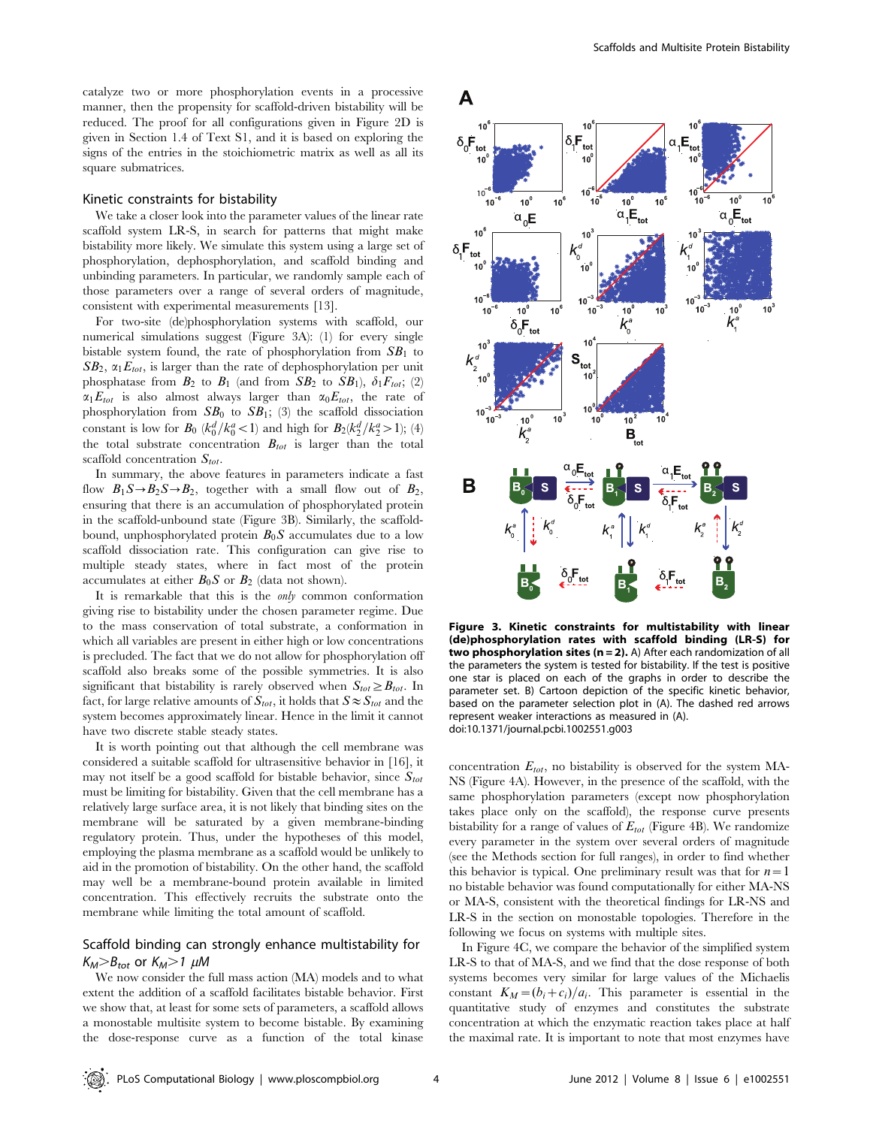catalyze two or more phosphorylation events in a processive manner, then the propensity for scaffold-driven bistability will be reduced. The proof for all configurations given in Figure 2D is given in Section 1.4 of Text S1, and it is based on exploring the signs of the entries in the stoichiometric matrix as well as all its square submatrices.

## Kinetic constraints for bistability

We take a closer look into the parameter values of the linear rate scaffold system LR-S, in search for patterns that might make bistability more likely. We simulate this system using a large set of phosphorylation, dephosphorylation, and scaffold binding and unbinding parameters. In particular, we randomly sample each of those parameters over a range of several orders of magnitude, consistent with experimental measurements [13].

For two-site (de)phosphorylation systems with scaffold, our numerical simulations suggest (Figure 3A): (1) for every single bistable system found, the rate of phosphorylation from  $SB<sub>1</sub>$  to  $SB_2$ ,  $\alpha_1E_{tot}$ , is larger than the rate of dephosphorylation per unit phosphatase from  $B_2$  to  $B_1$  (and from  $SB_2$  to  $SB_1$ ),  $\delta_1 F_{tot}$ ; (2)  $\alpha_1 E_{tot}$  is also almost always larger than  $\alpha_0 E_{tot}$ , the rate of phosphorylation from  $SB_0$  to  $SB_1$ ; (3) the scaffold dissociation constant is low for  $B_0$  ( $k_0^d / k_0^a < 1$ ) and high for  $B_2(k_2^d / k_2^a > 1)$ ; (4) the total substrate concentration  $B_{tot}$  is larger than the total scaffold concentration  $S_{tot}$ .

In summary, the above features in parameters indicate a fast flow  $B_1S \rightarrow B_2S \rightarrow B_2$ , together with a small flow out of  $B_2$ , ensuring that there is an accumulation of phosphorylated protein in the scaffold-unbound state (Figure 3B). Similarly, the scaffoldbound, unphosphorylated protein  $B_0S$  accumulates due to a low scaffold dissociation rate. This configuration can give rise to multiple steady states, where in fact most of the protein accumulates at either  $B_0S$  or  $B_2$  (data not shown).

It is remarkable that this is the only common conformation giving rise to bistability under the chosen parameter regime. Due to the mass conservation of total substrate, a conformation in which all variables are present in either high or low concentrations is precluded. The fact that we do not allow for phosphorylation off scaffold also breaks some of the possible symmetries. It is also significant that bistability is rarely observed when  $S_{tot} \geq B_{tot}$ . In fact, for large relative amounts of  $S_{tot}$ , it holds that  $S \approx S_{tot}$  and the system becomes approximately linear. Hence in the limit it cannot have two discrete stable steady states.

It is worth pointing out that although the cell membrane was considered a suitable scaffold for ultrasensitive behavior in [16], it may not itself be a good scaffold for bistable behavior, since  $S_{tot}$ must be limiting for bistability. Given that the cell membrane has a relatively large surface area, it is not likely that binding sites on the membrane will be saturated by a given membrane-binding regulatory protein. Thus, under the hypotheses of this model, employing the plasma membrane as a scaffold would be unlikely to aid in the promotion of bistability. On the other hand, the scaffold may well be a membrane-bound protein available in limited concentration. This effectively recruits the substrate onto the membrane while limiting the total amount of scaffold.

## Scaffold binding can strongly enhance multistability for  $K_M > B_{tot}$  or  $K_M > 1$   $\mu$ M

We now consider the full mass action (MA) models and to what extent the addition of a scaffold facilitates bistable behavior. First we show that, at least for some sets of parameters, a scaffold allows a monostable multisite system to become bistable. By examining the dose-response curve as a function of the total kinase



Figure 3. Kinetic constraints for multistability with linear (de)phosphorylation rates with scaffold binding (LR-S) for two phosphorylation sites ( $n = 2$ ). A) After each randomization of all the parameters the system is tested for bistability. If the test is positive one star is placed on each of the graphs in order to describe the parameter set. B) Cartoon depiction of the specific kinetic behavior, based on the parameter selection plot in (A). The dashed red arrows represent weaker interactions as measured in (A). doi:10.1371/journal.pcbi.1002551.g003

concentration  $E_{tot}$ , no bistability is observed for the system MA-NS (Figure 4A). However, in the presence of the scaffold, with the same phosphorylation parameters (except now phosphorylation takes place only on the scaffold), the response curve presents bistability for a range of values of  $E_{tot}$  (Figure 4B). We randomize every parameter in the system over several orders of magnitude (see the Methods section for full ranges), in order to find whether this behavior is typical. One preliminary result was that for  $n=1$ no bistable behavior was found computationally for either MA-NS or MA-S, consistent with the theoretical findings for LR-NS and LR-S in the section on monostable topologies. Therefore in the following we focus on systems with multiple sites.

In Figure 4C, we compare the behavior of the simplified system LR-S to that of MA-S, and we find that the dose response of both systems becomes very similar for large values of the Michaelis constant  $K_M=(b_i+c_i)/a_i$ . This parameter is essential in the quantitative study of enzymes and constitutes the substrate concentration at which the enzymatic reaction takes place at half the maximal rate. It is important to note that most enzymes have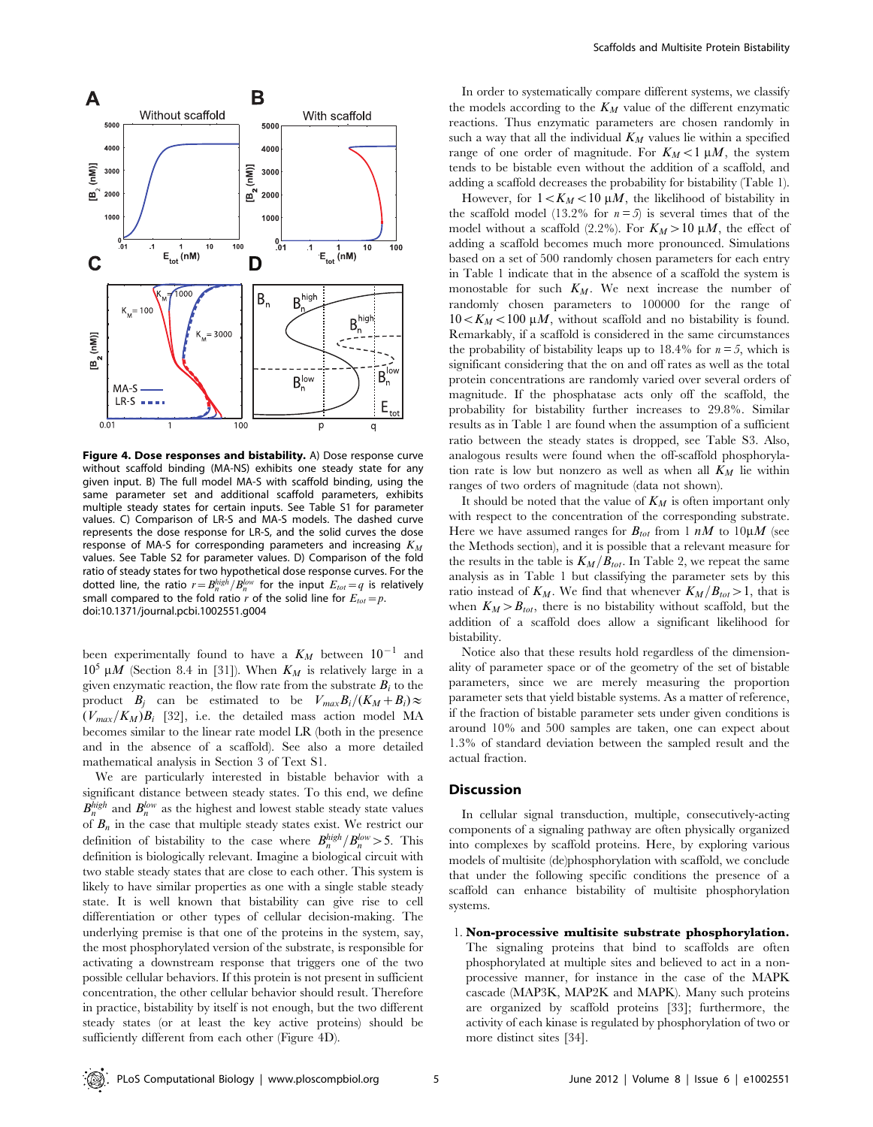

Figure 4. Dose responses and bistability. A) Dose response curve without scaffold binding (MA-NS) exhibits one steady state for any given input. B) The full model MA-S with scaffold binding, using the same parameter set and additional scaffold parameters, exhibits multiple steady states for certain inputs. See Table S1 for parameter values. C) Comparison of LR-S and MA-S models. The dashed curve represents the dose response for LR-S, and the solid curves the dose response of MA-S for corresponding parameters and increasing  $K_M$ values. See Table S2 for parameter values. D) Comparison of the fold ratio of steady states for two hypothetical dose response curves. For the dotted line, the ratio  $r = B_n^{high}/B_n^{low}$  for the input  $E_{tot}=q$  is relatively small compared to the fold ratio r of the solid line for  $E_{tot}=p$ . doi:10.1371/journal.pcbi.1002551.g004

been experimentally found to have a  $K_M$  between  $10^{-1}$  and  $10^5 \mu M$  (Section 8.4 in [31]). When  $K_M$  is relatively large in a given enzymatic reaction, the flow rate from the substrate  $B_i$  to the product  $B_i$  can be estimated to be  $V_{max}B_i/(K_M+B_i)\approx$  $(V_{max}/K_M)B_i$  [32], i.e. the detailed mass action model MA becomes similar to the linear rate model LR (both in the presence and in the absence of a scaffold). See also a more detailed mathematical analysis in Section 3 of Text S1.

We are particularly interested in bistable behavior with a significant distance between steady states. To this end, we define  $B_n^{high}$  and  $B_n^{low}$  as the highest and lowest stable steady state values of  $B_n$  in the case that multiple steady states exist. We restrict our definition of bistability to the case where  $B_n^{high}/B_n^{low} > 5$ . This definition is biologically relevant. Imagine a biological circuit with two stable steady states that are close to each other. This system is likely to have similar properties as one with a single stable steady state. It is well known that bistability can give rise to cell differentiation or other types of cellular decision-making. The underlying premise is that one of the proteins in the system, say, the most phosphorylated version of the substrate, is responsible for activating a downstream response that triggers one of the two possible cellular behaviors. If this protein is not present in sufficient concentration, the other cellular behavior should result. Therefore in practice, bistability by itself is not enough, but the two different steady states (or at least the key active proteins) should be sufficiently different from each other (Figure 4D).

In order to systematically compare different systems, we classify the models according to the  $K_M$  value of the different enzymatic reactions. Thus enzymatic parameters are chosen randomly in such a way that all the individual  $K_M$  values lie within a specified range of one order of magnitude. For  $K_M < 1 \mu M$ , the system tends to be bistable even without the addition of a scaffold, and adding a scaffold decreases the probability for bistability (Table 1).

However, for  $1 < K_M < 10 \mu M$ , the likelihood of bistability in the scaffold model (13.2% for  $n=5$ ) is several times that of the model without a scaffold (2.2%). For  $K_M > 10 \mu M$ , the effect of adding a scaffold becomes much more pronounced. Simulations based on a set of 500 randomly chosen parameters for each entry in Table 1 indicate that in the absence of a scaffold the system is monostable for such  $K_M$ . We next increase the number of randomly chosen parameters to 100000 for the range of  $10\lt K_M\lt 100 \mu M$ , without scaffold and no bistability is found. Remarkably, if a scaffold is considered in the same circumstances the probability of bistability leaps up to 18.4% for  $n = 5$ , which is significant considering that the on and off rates as well as the total protein concentrations are randomly varied over several orders of magnitude. If the phosphatase acts only off the scaffold, the probability for bistability further increases to 29.8%. Similar results as in Table 1 are found when the assumption of a sufficient ratio between the steady states is dropped, see Table S3. Also, analogous results were found when the off-scaffold phosphorylation rate is low but nonzero as well as when all  $K_M$  lie within ranges of two orders of magnitude (data not shown).

It should be noted that the value of  $K_M$  is often important only with respect to the concentration of the corresponding substrate. Here we have assumed ranges for  $B_{tot}$  from 1 nM to 10µM (see the Methods section), and it is possible that a relevant measure for the results in the table is  $K_M/B_{tot}$ . In Table 2, we repeat the same analysis as in Table 1 but classifying the parameter sets by this ratio instead of  $K_M$ . We find that whenever  $K_M/B_{tot} > 1$ , that is when  $K_M > B_{tot}$ , there is no bistability without scaffold, but the addition of a scaffold does allow a significant likelihood for bistability.

Notice also that these results hold regardless of the dimensionality of parameter space or of the geometry of the set of bistable parameters, since we are merely measuring the proportion parameter sets that yield bistable systems. As a matter of reference, if the fraction of bistable parameter sets under given conditions is around 10% and 500 samples are taken, one can expect about 1.3% of standard deviation between the sampled result and the actual fraction.

## **Discussion**

In cellular signal transduction, multiple, consecutively-acting components of a signaling pathway are often physically organized into complexes by scaffold proteins. Here, by exploring various models of multisite (de)phosphorylation with scaffold, we conclude that under the following specific conditions the presence of a scaffold can enhance bistability of multisite phosphorylation systems.

#### 1. Non-processive multisite substrate phosphorylation.

The signaling proteins that bind to scaffolds are often phosphorylated at multiple sites and believed to act in a nonprocessive manner, for instance in the case of the MAPK cascade (MAP3K, MAP2K and MAPK). Many such proteins are organized by scaffold proteins [33]; furthermore, the activity of each kinase is regulated by phosphorylation of two or more distinct sites [34].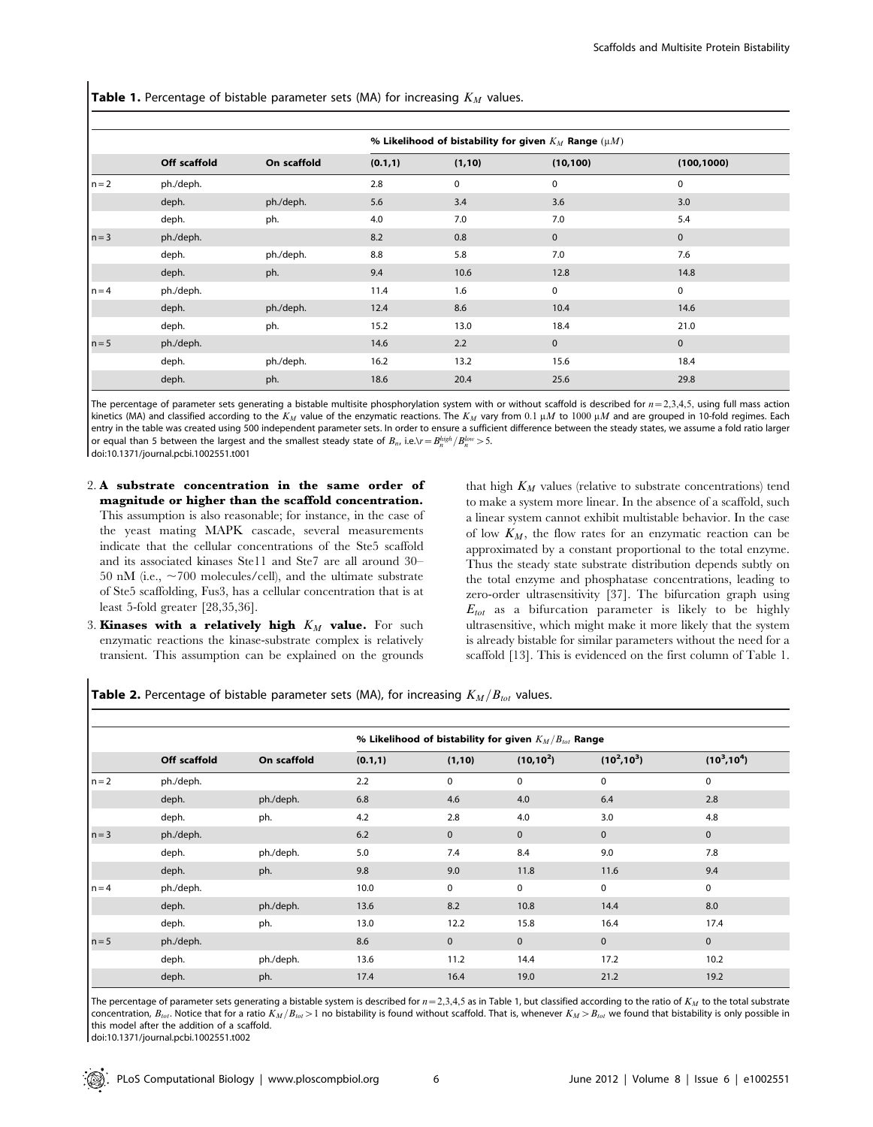**Table 1.** Percentage of bistable parameter sets (MA) for increasing  $K_M$  values.

|         | Off scaffold | On scaffold | % Likelihood of bistability for given $K_M$ Range ( $\mu$ <i>M</i> ) |             |             |             |  |  |
|---------|--------------|-------------|----------------------------------------------------------------------|-------------|-------------|-------------|--|--|
|         |              |             | (0.1, 1)                                                             | (1, 10)     | (10, 100)   | (100, 1000) |  |  |
| $n = 2$ | ph./deph.    |             | 2.8                                                                  | $\mathbf 0$ | $\mathbf 0$ | 0           |  |  |
|         | deph.        | ph./deph.   | 5.6                                                                  | 3.4         | 3.6         | 3.0         |  |  |
|         | deph.        | ph.         | 4.0                                                                  | 7.0         | 7.0         | 5.4         |  |  |
| $n = 3$ | ph./deph.    |             | 8.2                                                                  | 0.8         | $\mathbf 0$ | 0           |  |  |
|         | deph.        | ph./deph.   | 8.8                                                                  | 5.8         | 7.0         | 7.6         |  |  |
|         | deph.        | ph.         | 9.4                                                                  | 10.6        | 12.8        | 14.8        |  |  |
| $n = 4$ | ph./deph.    |             | 11.4                                                                 | 1.6         | $\mathbf 0$ | 0           |  |  |
|         | deph.        | ph./deph.   | 12.4                                                                 | 8.6         | 10.4        | 14.6        |  |  |
|         | deph.        | ph.         | 15.2                                                                 | 13.0        | 18.4        | 21.0        |  |  |
| $n = 5$ | ph./deph.    |             | 14.6                                                                 | 2.2         | $\mathbf 0$ | $\mathbf 0$ |  |  |
|         | deph.        | ph./deph.   | 16.2                                                                 | 13.2        | 15.6        | 18.4        |  |  |
|         | deph.        | ph.         | 18.6                                                                 | 20.4        | 25.6        | 29.8        |  |  |

The percentage of parameter sets generating a bistable multisite phosphorylation system with or without scaffold is described for  $n=2,3,4,5$ , using full mass action kinetics (MA) and classified according to the K<sub>M</sub> value of the enzymatic reactions. The K<sub>M</sub> vary from 0.1  $\mu$ M to 1000  $\mu$ M and are grouped in 10-fold regimes. Each entry in the table was created using 500 independent parameter sets. In order to ensure a sufficient difference between the steady states, we assume a fold ratio larger or equal than 5 between the largest and the smallest steady state of  $B_n$ , i.e.\r  $=B_n^{high}/B_n^{low}$   $>$  5. doi:10.1371/journal.pcbi.1002551.t001

- 2. A substrate concentration in the same order of magnitude or higher than the scaffold concentration. This assumption is also reasonable; for instance, in the case of the yeast mating MAPK cascade, several measurements indicate that the cellular concentrations of the Ste5 scaffold and its associated kinases Ste11 and Ste7 are all around 30– 50 nM (i.e.,  $\sim$ 700 molecules/cell), and the ultimate substrate of Ste5 scaffolding, Fus3, has a cellular concentration that is at
- 3. Kinases with a relatively high  $K_M$  value. For such enzymatic reactions the kinase-substrate complex is relatively transient. This assumption can be explained on the grounds

least 5-fold greater [28,35,36].

that high  $K_M$  values (relative to substrate concentrations) tend to make a system more linear. In the absence of a scaffold, such a linear system cannot exhibit multistable behavior. In the case of low  $K_M$ , the flow rates for an enzymatic reaction can be approximated by a constant proportional to the total enzyme. Thus the steady state substrate distribution depends subtly on the total enzyme and phosphatase concentrations, leading to zero-order ultrasensitivity [37]. The bifurcation graph using  $E_{tot}$  as a bifurcation parameter is likely to be highly ultrasensitive, which might make it more likely that the system is already bistable for similar parameters without the need for a scaffold [13]. This is evidenced on the first column of Table 1.

**Table 2.** Percentage of bistable parameter sets (MA), for increasing  $K_M/B_{tot}$  values.

|         | Off scaffold | On scaffold | % Likelihood of bistability for given $K_M/B_{tot}$ Range |             |              |                |                |  |
|---------|--------------|-------------|-----------------------------------------------------------|-------------|--------------|----------------|----------------|--|
|         |              |             | (0.1, 1)                                                  | (1, 10)     | $(10, 10^2)$ | $(10^2, 10^3)$ | $(10^3, 10^4)$ |  |
| $n = 2$ | ph./deph.    |             | 2.2                                                       | 0           | $\mathbf 0$  | $\mathbf 0$    | 0              |  |
|         | deph.        | ph./deph.   | 6.8                                                       | 4.6         | 4.0          | 6.4            | 2.8            |  |
|         | deph.        | ph.         | 4.2                                                       | 2.8         | 4.0          | 3.0            | 4.8            |  |
| $n = 3$ | ph./deph.    |             | 6.2                                                       | $\mathbf 0$ | $\mathbf 0$  | $\mathbf{0}$   | $\mathbf 0$    |  |
|         | deph.        | ph./deph.   | 5.0                                                       | 7.4         | 8.4          | 9.0            | 7.8            |  |
|         | deph.        | ph.         | 9.8                                                       | 9.0         | 11.8         | 11.6           | 9.4            |  |
| $n = 4$ | ph./deph.    |             | 10.0                                                      | 0           | 0            | $\mathbf 0$    | 0              |  |
|         | deph.        | ph./deph.   | 13.6                                                      | 8.2         | 10.8         | 14.4           | 8.0            |  |
|         | deph.        | ph.         | 13.0                                                      | 12.2        | 15.8         | 16.4           | 17.4           |  |
| $n = 5$ | ph./deph.    |             | 8.6                                                       | $\pmb{0}$   | $\mathbf 0$  | $\mathbf 0$    | $\mathbf 0$    |  |
|         | deph.        | ph./deph.   | 13.6                                                      | 11.2        | 14.4         | 17.2           | 10.2           |  |
|         | deph.        | ph.         | 17.4                                                      | 16.4        | 19.0         | 21.2           | 19.2           |  |

The percentage of parameter sets generating a bistable system is described for  $n=2,3,4,5$  as in Table 1, but classified according to the ratio of  $K_M$  to the total substrate concentration,  $B_{tot}$ . Notice that for a ratio  $K_M/B_{tot}$  > 1 no bistability is found without scaffold. That is, whenever  $K_M>B_{tot}$  we found that bistability is only possible in this model after the addition of a scaffold.

doi:10.1371/journal.pcbi.1002551.t002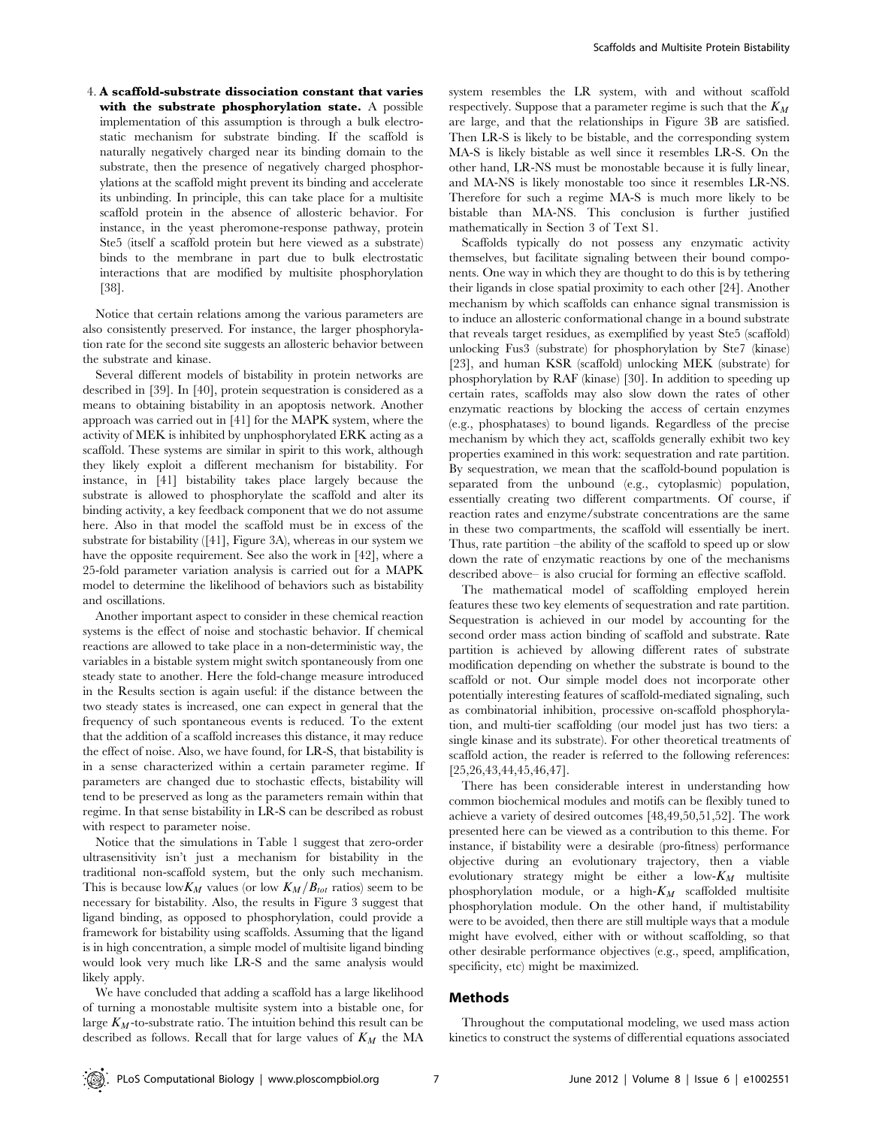4. A scaffold-substrate dissociation constant that varies with the substrate phosphorylation state. A possible implementation of this assumption is through a bulk electrostatic mechanism for substrate binding. If the scaffold is naturally negatively charged near its binding domain to the substrate, then the presence of negatively charged phosphorylations at the scaffold might prevent its binding and accelerate its unbinding. In principle, this can take place for a multisite scaffold protein in the absence of allosteric behavior. For instance, in the yeast pheromone-response pathway, protein Ste5 (itself a scaffold protein but here viewed as a substrate) binds to the membrane in part due to bulk electrostatic interactions that are modified by multisite phosphorylation [38].

Notice that certain relations among the various parameters are also consistently preserved. For instance, the larger phosphorylation rate for the second site suggests an allosteric behavior between the substrate and kinase.

Several different models of bistability in protein networks are described in [39]. In [40], protein sequestration is considered as a means to obtaining bistability in an apoptosis network. Another approach was carried out in [41] for the MAPK system, where the activity of MEK is inhibited by unphosphorylated ERK acting as a scaffold. These systems are similar in spirit to this work, although they likely exploit a different mechanism for bistability. For instance, in [41] bistability takes place largely because the substrate is allowed to phosphorylate the scaffold and alter its binding activity, a key feedback component that we do not assume here. Also in that model the scaffold must be in excess of the substrate for bistability ([41], Figure 3A), whereas in our system we have the opposite requirement. See also the work in [42], where a 25-fold parameter variation analysis is carried out for a MAPK model to determine the likelihood of behaviors such as bistability and oscillations.

Another important aspect to consider in these chemical reaction systems is the effect of noise and stochastic behavior. If chemical reactions are allowed to take place in a non-deterministic way, the variables in a bistable system might switch spontaneously from one steady state to another. Here the fold-change measure introduced in the Results section is again useful: if the distance between the two steady states is increased, one can expect in general that the frequency of such spontaneous events is reduced. To the extent that the addition of a scaffold increases this distance, it may reduce the effect of noise. Also, we have found, for LR-S, that bistability is in a sense characterized within a certain parameter regime. If parameters are changed due to stochastic effects, bistability will tend to be preserved as long as the parameters remain within that regime. In that sense bistability in LR-S can be described as robust with respect to parameter noise.

Notice that the simulations in Table 1 suggest that zero-order ultrasensitivity isn't just a mechanism for bistability in the traditional non-scaffold system, but the only such mechanism. This is because low  $K_M$  values (or low  $K_M/B_{tot}$  ratios) seem to be necessary for bistability. Also, the results in Figure 3 suggest that ligand binding, as opposed to phosphorylation, could provide a framework for bistability using scaffolds. Assuming that the ligand is in high concentration, a simple model of multisite ligand binding would look very much like LR-S and the same analysis would likely apply.

We have concluded that adding a scaffold has a large likelihood of turning a monostable multisite system into a bistable one, for large  $K_M$ -to-substrate ratio. The intuition behind this result can be described as follows. Recall that for large values of  $K_M$  the MA

system resembles the LR system, with and without scaffold respectively. Suppose that a parameter regime is such that the  $K_M$ are large, and that the relationships in Figure 3B are satisfied. Then LR-S is likely to be bistable, and the corresponding system MA-S is likely bistable as well since it resembles LR-S. On the other hand, LR-NS must be monostable because it is fully linear, and MA-NS is likely monostable too since it resembles LR-NS. Therefore for such a regime MA-S is much more likely to be bistable than MA-NS. This conclusion is further justified mathematically in Section 3 of Text S1.

Scaffolds typically do not possess any enzymatic activity themselves, but facilitate signaling between their bound components. One way in which they are thought to do this is by tethering their ligands in close spatial proximity to each other [24]. Another mechanism by which scaffolds can enhance signal transmission is to induce an allosteric conformational change in a bound substrate that reveals target residues, as exemplified by yeast Ste5 (scaffold) unlocking Fus3 (substrate) for phosphorylation by Ste7 (kinase) [23], and human KSR (scaffold) unlocking MEK (substrate) for phosphorylation by RAF (kinase) [30]. In addition to speeding up certain rates, scaffolds may also slow down the rates of other enzymatic reactions by blocking the access of certain enzymes (e.g., phosphatases) to bound ligands. Regardless of the precise mechanism by which they act, scaffolds generally exhibit two key properties examined in this work: sequestration and rate partition. By sequestration, we mean that the scaffold-bound population is separated from the unbound (e.g., cytoplasmic) population, essentially creating two different compartments. Of course, if reaction rates and enzyme/substrate concentrations are the same in these two compartments, the scaffold will essentially be inert. Thus, rate partition –the ability of the scaffold to speed up or slow down the rate of enzymatic reactions by one of the mechanisms described above– is also crucial for forming an effective scaffold.

The mathematical model of scaffolding employed herein features these two key elements of sequestration and rate partition. Sequestration is achieved in our model by accounting for the second order mass action binding of scaffold and substrate. Rate partition is achieved by allowing different rates of substrate modification depending on whether the substrate is bound to the scaffold or not. Our simple model does not incorporate other potentially interesting features of scaffold-mediated signaling, such as combinatorial inhibition, processive on-scaffold phosphorylation, and multi-tier scaffolding (our model just has two tiers: a single kinase and its substrate). For other theoretical treatments of scaffold action, the reader is referred to the following references: [25,26,43,44,45,46,47].

There has been considerable interest in understanding how common biochemical modules and motifs can be flexibly tuned to achieve a variety of desired outcomes [48,49,50,51,52]. The work presented here can be viewed as a contribution to this theme. For instance, if bistability were a desirable (pro-fitness) performance objective during an evolutionary trajectory, then a viable evolutionary strategy might be either a low- $K_M$  multisite phosphorylation module, or a high- $K_M$  scaffolded multisite phosphorylation module. On the other hand, if multistability were to be avoided, then there are still multiple ways that a module might have evolved, either with or without scaffolding, so that other desirable performance objectives (e.g., speed, amplification, specificity, etc) might be maximized.

#### Methods

Throughout the computational modeling, we used mass action kinetics to construct the systems of differential equations associated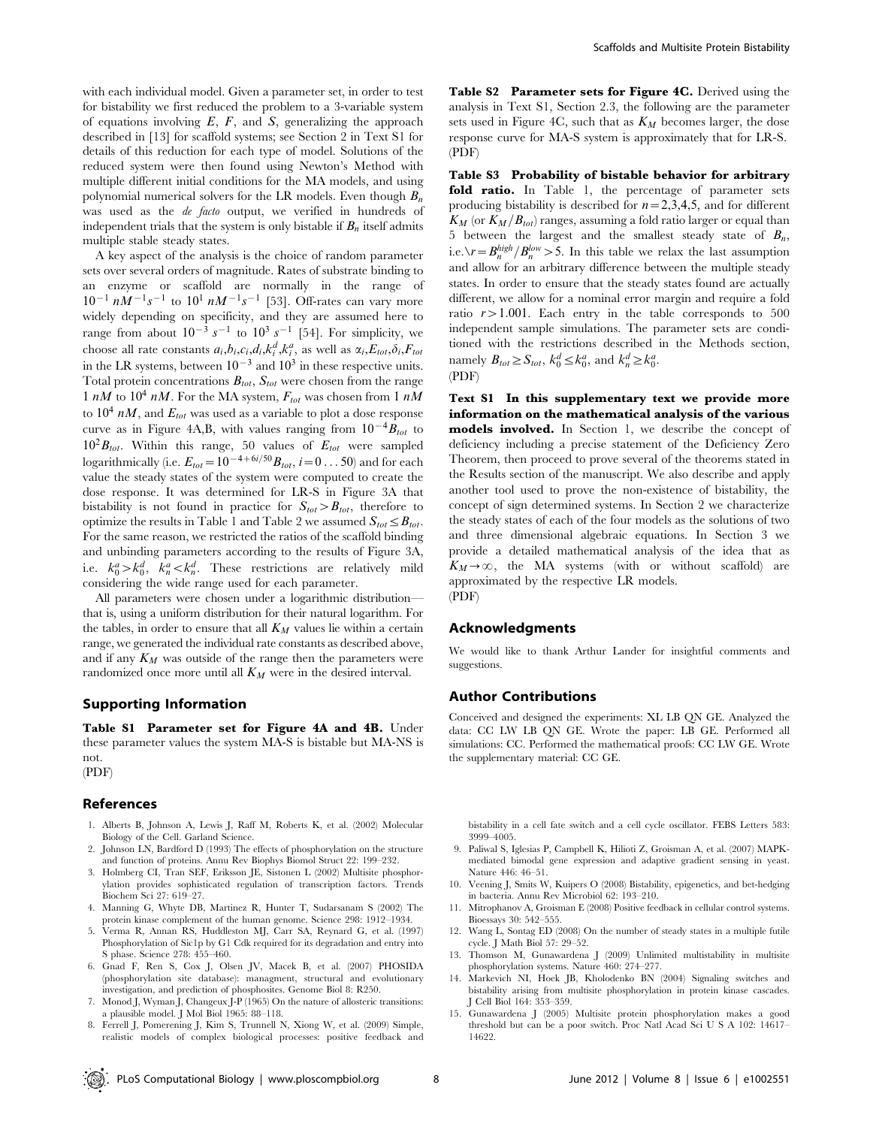with each individual model. Given a parameter set, in order to test for bistability we first reduced the problem to a 3-variable system of equations involving  $E$ ,  $F$ , and  $S$ , generalizing the approach described in [13] for scaffold systems; see Section 2 in Text S1 for details of this reduction for each type of model. Solutions of the reduced system were then found using Newton's Method with multiple different initial conditions for the MA models, and using polynomial numerical solvers for the LR models. Even though  $B_n$ was used as the de facto output, we verified in hundreds of independent trials that the system is only bistable if  $B_n$  itself admits multiple stable steady states.

A key aspect of the analysis is the choice of random parameter sets over several orders of magnitude. Rates of substrate binding to an enzyme or scaffold are normally in the range of  $10^{-1}$  nM<sup>-1</sup>s<sup>-1</sup> to  $10^{1}$  nM<sup>-1</sup>s<sup>-1</sup> [53]. Off-rates can vary more widely depending on specificity, and they are assumed here to range from about  $10^{-3} s^{-1}$  to  $10^3 s^{-1}$  [54]. For simplicity, we choose all rate constants  $a_i, b_i, c_i, d_i, k_i^d, k_i^a$ , as well as  $\alpha_i, E_{tot}, \delta_i, F_{tot}$ in the LR systems, between  $10^{-3}$  and  $10^3$  in these respective units. Total protein concentrations  $B_{tot}$ ,  $S_{tot}$  were chosen from the range 1 nM to  $10^4$  nM. For the MA system,  $F_{tot}$  was chosen from 1 nM to  $10^4$  nM, and  $E_{tot}$  was used as a variable to plot a dose response curve as in Figure 4A,B, with values ranging from  $10^{-4}B_{tot}$  to  $10^2B_{tot}$ . Within this range, 50 values of  $E_{tot}$  were sampled logarithmically (i.e.  $E_{tot}=10^{-4+6i/50}B_{tot}$ ,  $i=0...50$ ) and for each value the steady states of the system were computed to create the dose response. It was determined for LR-S in Figure 3A that bistability is not found in practice for  $S_{tot} > B_{tot}$ , therefore to optimize the results in Table 1 and Table 2 we assumed  $S_{tot} \leq B_{tot}$ . For the same reason, we restricted the ratios of the scaffold binding and unbinding parameters according to the results of Figure 3A, i.e.  $k_0^a > k_0^d$ ,  $k_n^a < k_n^d$ . These restrictions are relatively mild considering the wide range used for each parameter.

All parameters were chosen under a logarithmic distribution that is, using a uniform distribution for their natural logarithm. For the tables, in order to ensure that all  $K_M$  values lie within a certain range, we generated the individual rate constants as described above, and if any  $K_M$  was outside of the range then the parameters were randomized once more until all  $K_M$  were in the desired interval.

## Supporting Information

Table S1 Parameter set for Figure 4A and 4B. Under these parameter values the system MA-S is bistable but MA-NS is not.

## (PDF)

## References

- 1. Alberts B, Johnson A, Lewis J, Raff M, Roberts K, et al. (2002) Molecular Biology of the Cell. Garland Science.
- Johnson LN, Bardford D (1993) The effects of phosphorylation on the structure and function of proteins. Annu Rev Biophys Biomol Struct 22: 199–232.
- 3. Holmberg CI, Tran SEF, Eriksson JE, Sistonen L (2002) Multisite phosphorylation provides sophisticated regulation of transcription factors. Trends Biochem Sci 27: 619–27.
- 4. Manning G, Whyte DB, Martinez R, Hunter T, Sudarsanam S (2002) The protein kinase complement of the human genome. Science 298: 1912–1934.
- 5. Verma R, Annan RS, Huddleston MJ, Carr SA, Reynard G, et al. (1997) Phosphorylation of Sic1p by G1 Cdk required for its degradation and entry into S phase. Science 278: 455–460.
- 6. Gnad F, Ren S, Cox J, Olsen JV, Macek B, et al. (2007) PHOSIDA (phosphorylation site database): managment, structural and evolutionary investigation, and prediction of phosphosites. Genome Biol 8: R250.
- 7. Monod J, Wyman J, Changeux J-P (1965) On the nature of allosteric transitions: a plausible model. J Mol Biol 1965: 88–118.
- 8. Ferrell J, Pomerening J, Kim S, Trunnell N, Xiong W, et al. (2009) Simple, realistic models of complex biological processes: positive feedback and

Table S2 Parameter sets for Figure 4C. Derived using the analysis in Text S1, Section 2.3, the following are the parameter sets used in Figure 4C, such that as  $K_M$  becomes larger, the dose response curve for MA-S system is approximately that for LR-S. (PDF)

Table S3 Probability of bistable behavior for arbitrary fold ratio. In Table 1, the percentage of parameter sets producing bistability is described for  $n=2,3,4,5$ , and for different  $K_M$  (or  $K_M/B_{tot}$ ) ranges, assuming a fold ratio larger or equal than 5 between the largest and the smallest steady state of  $B_n$ , i.e. $\gamma = B_n^{high} / B_n^{low} > 5$ . In this table we relax the last assumption and allow for an arbitrary difference between the multiple steady states. In order to ensure that the steady states found are actually different, we allow for a nominal error margin and require a fold ratio  $r > 1.001$ . Each entry in the table corresponds to 500 independent sample simulations. The parameter sets are conditioned with the restrictions described in the Methods section, namely  $B_{tot} \ge S_{tot}$ ,  $k_0^d \le k_0^a$ , and  $k_n^d \ge k_0^a$ . (PDF)

Text S1 In this supplementary text we provide more information on the mathematical analysis of the various models involved. In Section 1, we describe the concept of

deficiency including a precise statement of the Deficiency Zero Theorem, then proceed to prove several of the theorems stated in the Results section of the manuscript. We also describe and apply another tool used to prove the non-existence of bistability, the concept of sign determined systems. In Section 2 we characterize the steady states of each of the four models as the solutions of two and three dimensional algebraic equations. In Section 3 we provide a detailed mathematical analysis of the idea that as  $K_M \rightarrow \infty$ , the MA systems (with or without scaffold) are approximated by the respective LR models. (PDF)

## Acknowledgments

We would like to thank Arthur Lander for insightful comments and suggestions.

#### Author Contributions

Conceived and designed the experiments: XL LB QN GE. Analyzed the data: CC LW LB QN GE. Wrote the paper: LB GE. Performed all simulations: CC. Performed the mathematical proofs: CC LW GE. Wrote the supplementary material: CC GE.

bistability in a cell fate switch and a cell cycle oscillator. FEBS Letters 583: 3999–4005.

- 9. Paliwal S, Iglesias P, Campbell K, Hilioti Z, Groisman A, et al. (2007) MAPKmediated bimodal gene expression and adaptive gradient sensing in yeast. Nature 446: 46–51.
- 10. Veening J, Smits W, Kuipers O (2008) Bistability, epigenetics, and bet-hedging in bacteria. Annu Rev Microbiol 62: 193–210.
- 11. Mitrophanov A, Groisman E (2008) Positive feedback in cellular control systems. Bioessays 30: 542–555.
- 12. Wang L, Sontag ED (2008) On the number of steady states in a multiple futile cycle. J Math Biol 57: 29–52.
- 13. Thomson M, Gunawardena J (2009) Unlimited multistability in multisite phosphorylation systems. Nature 460: 274–277.
- 14. Markevich NI, Hoek JB, Kholodenko BN (2004) Signaling switches and bistability arising from multisite phosphorylation in protein kinase cascades. J Cell Biol 164: 353–359.
- 15. Gunawardena J (2005) Multisite protein phosphorylation makes a good threshold but can be a poor switch. Proc Natl Acad Sci U S A 102: 14617– 14622.